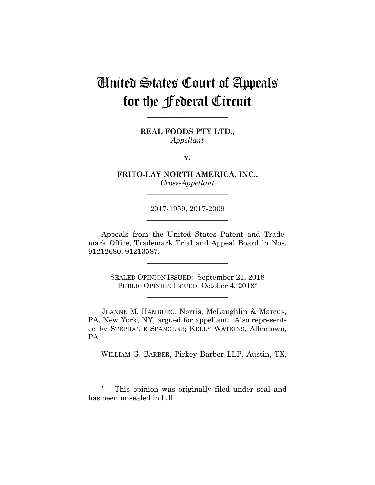# United States Court of Appeals for the Federal Circuit

**REAL FOODS PTY LTD.,** *Appellant*

**\_\_\_\_\_\_\_\_\_\_\_\_\_\_\_\_\_\_\_\_\_\_**

**v.**

**FRITO-LAY NORTH AMERICA, INC.,** *Cross-Appellant*

**\_\_\_\_\_\_\_\_\_\_\_\_\_\_\_\_\_\_\_\_\_\_**

2017-1959, 2017-2009 **\_\_\_\_\_\_\_\_\_\_\_\_\_\_\_\_\_\_\_\_\_\_**

Appeals from the United States Patent and Trademark Office, Trademark Trial and Appeal Board in Nos. 91212680, 91213587.

**\_\_\_\_\_\_\_\_\_\_\_\_\_\_\_\_\_\_\_\_\_\_**

SEALED OPINION ISSUED: September 21, 2018 PUBLIC OPINION ISSUED: October 4, 2018[\\*](#page-0-0)

**\_\_\_\_\_\_\_\_\_\_\_\_\_\_\_\_\_\_\_\_\_\_**

JEANNE M. HAMBURG, Norris, McLaughlin & Marcus, PA, New York, NY, argued for appellant. Also represented by STEPHANIE SPANGLER; KELLY WATKINS, Allentown, PA.

WILLIAM G. BARBER, Pirkey Barber LLP, Austin, TX,

<span id="page-0-0"></span>This opinion was originally filed under seal and has been unsealed in full.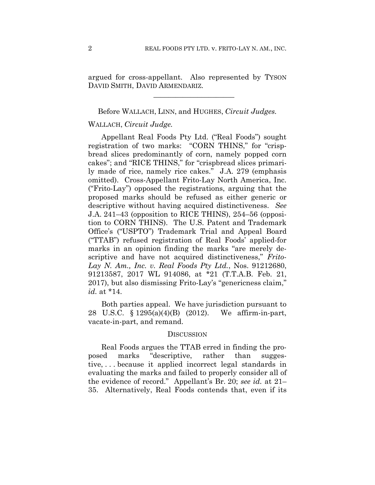argued for cross-appellant. Also represented by TYSON DAVID SMITH, DAVID ARMENDARIZ.

\_\_\_\_\_\_\_\_\_\_\_\_\_\_\_\_\_\_\_\_\_\_

## Before WALLACH, LINN, and HUGHES, *Circuit Judges.*

## WALLACH, *Circuit Judge.*

Appellant Real Foods Pty Ltd. ("Real Foods") sought registration of two marks: "CORN THINS," for "crispbread slices predominantly of corn, namely popped corn cakes"; and "RICE THINS," for "crispbread slices primarily made of rice, namely rice cakes." J.A. 279 (emphasis omitted). Cross-Appellant Frito-Lay North America, Inc. ("Frito-Lay") opposed the registrations, arguing that the proposed marks should be refused as either generic or descriptive without having acquired distinctiveness. *See*  J.A. 241–43 (opposition to RICE THINS), 254–56 (opposition to CORN THINS). The U.S. Patent and Trademark Office's ("USPTO") Trademark Trial and Appeal Board ("TTAB") refused registration of Real Foods' applied-for marks in an opinion finding the marks "are merely descriptive and have not acquired distinctiveness," *Frito-Lay N. Am., Inc. v. Real Foods Pty Ltd.*, Nos. 91212680, 91213587, 2017 WL 914086, at \*21 (T.T.A.B. Feb. 21, 2017), but also dismissing Frito-Lay's "genericness claim," *id.* at \*14.

Both parties appeal. We have jurisdiction pursuant to 28 U.S.C. § 1295(a)(4)(B) (2012). We affirm-in-part, vacate-in-part, and remand.

#### **DISCUSSION**

Real Foods argues the TTAB erred in finding the proposed marks "descriptive, rather than suggestive, . . . because it applied incorrect legal standards in evaluating the marks and failed to properly consider all of the evidence of record." Appellant's Br. 20; *see id.* at 21– 35. Alternatively, Real Foods contends that, even if its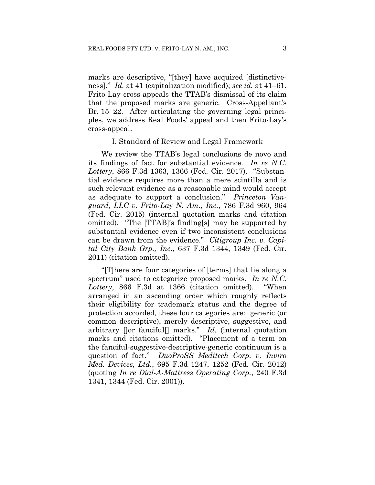marks are descriptive, "[they] have acquired [distinctiveness]." *Id.* at 41 (capitalization modified); *see id.* at 41–61. Frito-Lay cross-appeals the TTAB's dismissal of its claim that the proposed marks are generic. Cross-Appellant's Br. 15–22. After articulating the governing legal principles, we address Real Foods' appeal and then Frito-Lay's cross-appeal.

#### I. Standard of Review and Legal Framework

We review the TTAB's legal conclusions de novo and its findings of fact for substantial evidence. *In re N.C. Lottery*, 866 F.3d 1363, 1366 (Fed. Cir. 2017). "Substantial evidence requires more than a mere scintilla and is such relevant evidence as a reasonable mind would accept as adequate to support a conclusion." *Princeton Vanguard, LLC v. Frito-Lay N. Am., Inc.*, 786 F.3d 960, 964 (Fed. Cir. 2015) (internal quotation marks and citation omitted). "The [TTAB]'s finding[s] may be supported by substantial evidence even if two inconsistent conclusions can be drawn from the evidence." *Citigroup Inc. v. Capital City Bank Grp., Inc.*, 637 F.3d 1344, 1349 (Fed. Cir. 2011) (citation omitted).

"[T]here are four categories of [terms] that lie along a spectrum" used to categorize proposed marks. *In re N.C. Lottery*, 866 F.3d at 1366 (citation omitted). "When arranged in an ascending order which roughly reflects their eligibility for trademark status and the degree of protection accorded, these four categories are: generic (or common descriptive), merely descriptive, suggestive, and arbitrary []or fanciful[] marks." *Id.* (internal quotation marks and citations omitted). "Placement of a term on the fanciful-suggestive-descriptive-generic continuum is a question of fact." *DuoProSS Meditech Corp. v. Inviro Med. Devices, Ltd.*, 695 F.3d 1247, 1252 (Fed. Cir. 2012) (quoting *In re Dial-A-Mattress Operating Corp.*, 240 F.3d 1341, 1344 (Fed. Cir. 2001)).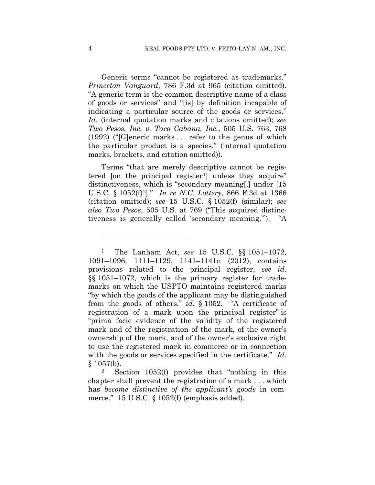Generic terms "cannot be registered as trademarks." *Princeton Vanguard*, 786 F.3d at 965 (citation omitted). "A generic term is the common descriptive name of a class of goods or services" and "[is] by definition incapable of indicating a particular source of the goods or services." *Id.* (internal quotation marks and citations omitted); *see Two Pesos, Inc. v. Taco Cabana, Inc.*, 505 U.S. 763, 768 (1992) ("[G]eneric marks . . . refer to the genus of which the particular product is a species." (internal quotation marks, brackets, and citation omitted)).

Terms "that are merely descriptive cannot be registered [on the principal registe[r1\]](#page-3-0) unless they acquire" distinctiveness, which is "secondary meaning[,] under [15 U.S.C. § 1052(f)[2\]](#page-3-1)." *In re N.C. Lottery*, 866 F.3d at 1366 (citation omitted); *see* 15 U.S.C. § 1052(f) (similar); *see also Two Pesos*, 505 U.S. at 769 ("This acquired distinctiveness is generally called 'secondary meaning.'"). "A

<span id="page-3-0"></span><sup>1</sup> The Lanham Act, *see* 15 U.S.C. §§ 1051–1072, 1091–1096, 1111–1129, 1141–1141n (2012), contains provisions related to the principal register, *see id.* §§ 1051–1072, which is the primary register for trademarks on which the USPTO maintains registered marks "by which the goods of the applicant may be distinguished from the goods of others," *id.* § 1052. "A certificate of registration of a mark upon the principal register" is "prima facie evidence of the validity of the registered mark and of the registration of the mark, of the owner's ownership of the mark, and of the owner's exclusive right to use the registered mark in commerce or in connection with the goods or services specified in the certificate." *Id.*  $§ 1057(b).$ 

<span id="page-3-1"></span>Section  $1052(f)$  provides that "nothing in this chapter shall prevent the registration of a mark . . . which has *become distinctive of the applicant's goods* in commerce." 15 U.S.C. § 1052(f) (emphasis added).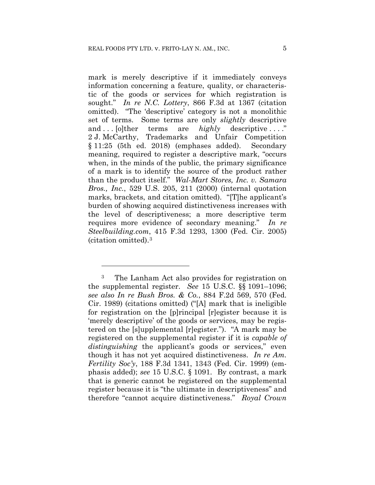1

mark is merely descriptive if it immediately conveys information concerning a feature, quality, or characteristic of the goods or services for which registration is sought." *In re N.C. Lottery*, 866 F.3d at 1367 (citation omitted). "The 'descriptive' category is not a monolithic set of terms. Some terms are only *slightly* descriptive and ... [o]ther terms are *highly* descriptive ...." 2 J. McCarthy, Trademarks and Unfair Competition § 11:25 (5th ed. 2018) (emphases added). Secondary meaning, required to register a descriptive mark, "occurs when, in the minds of the public, the primary significance of a mark is to identify the source of the product rather than the product itself." *Wal-Mart Stores, Inc. v. Samara Bros., Inc.*, 529 U.S. 205, 211 (2000) (internal quotation marks, brackets, and citation omitted). "[T]he applicant's burden of showing acquired distinctiveness increases with the level of descriptiveness; a more descriptive term requires more evidence of secondary meaning." *In re Steelbuilding.com*, 415 F.3d 1293, 1300 (Fed. Cir. 2005) (citation omitted).[3](#page-4-0)

<span id="page-4-0"></span><sup>3</sup> The Lanham Act also provides for registration on the supplemental register. *See* 15 U.S.C. §§ 1091–1096; *see also In re Bush Bros. & Co.*, 884 F.2d 569, 570 (Fed. Cir. 1989) (citations omitted) ("[A] mark that is ineligible for registration on the [p]rincipal [r]egister because it is 'merely descriptive' of the goods or services, may be registered on the [s]upplemental [r]egister."). "A mark may be registered on the supplemental register if it is *capable of distinguishing* the applicant's goods or services," even though it has not yet acquired distinctiveness. *In re Am. Fertility Soc'y*, 188 F.3d 1341, 1343 (Fed. Cir. 1999) (emphasis added); *see* 15 U.S.C. § 1091. By contrast, a mark that is generic cannot be registered on the supplemental register because it is "the ultimate in descriptiveness" and therefore "cannot acquire distinctiveness." *Royal Crown*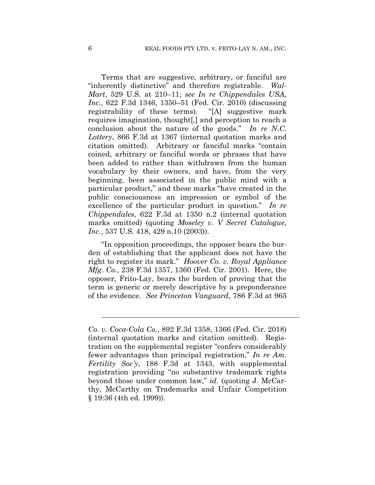Terms that are suggestive, arbitrary, or fanciful are "inherently distinctive" and therefore registrable. *Wal-Mart*, 529 U.S. at 210–11; *see In re Chippendales USA, Inc.*, 622 F.3d 1346, 1350–51 (Fed. Cir. 2010) (discussing registrability of these terms). "[A] suggestive mark requires imagination, thought[,] and perception to reach a conclusion about the nature of the goods." *In re N.C. Lottery*, 866 F.3d at 1367 (internal quotation marks and citation omitted). Arbitrary or fanciful marks "contain coined, arbitrary or fanciful words or phrases that have been added to rather than withdrawn from the human vocabulary by their owners, and have, from the very beginning, been associated in the public mind with a particular product," and these marks "have created in the public consciousness an impression or symbol of the excellence of the particular product in question." *In re Chippendales*, 622 F.3d at 1350 n.2 (internal quotation marks omitted) (quoting *Moseley v. V Secret Catalogue, Inc.*, 537 U.S. 418, 429 n.10 (2003)).

"In opposition proceedings, the opposer bears the burden of establishing that the applicant does not have the right to register its mark." *Hoover Co. v. Royal Appliance Mfg. Co.*, 238 F.3d 1357, 1360 (Fed. Cir. 2001). Here, the opposer, Frito-Lay, bears the burden of proving that the term is generic or merely descriptive by a preponderance of the evidence. *See Princeton Vanguard*, 786 F.3d at 965

l

*Co. v. Coca-Cola Co.*, 892 F.3d 1358, 1366 (Fed. Cir. 2018) (internal quotation marks and citation omitted). Registration on the supplemental register "confers considerably fewer advantages than principal registration," *In re Am. Fertility Soc'y*, 188 F.3d at 1343, with supplemental registration providing "no substantive trademark rights beyond those under common law," *id.* (quoting J. McCarthy, McCarthy on Trademarks and Unfair Competition § 19:36 (4th ed. 1999)).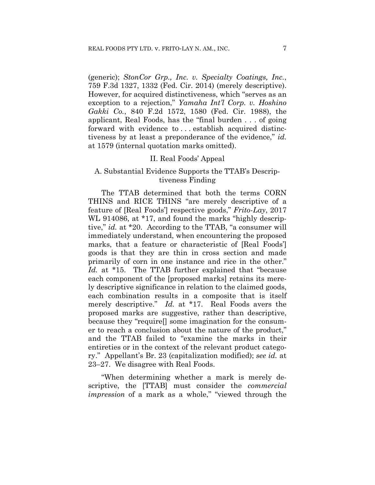(generic); *StonCor Grp., Inc. v. Specialty Coatings, Inc.*, 759 F.3d 1327, 1332 (Fed. Cir. 2014) (merely descriptive). However, for acquired distinctiveness, which "serves as an exception to a rejection," *Yamaha Int'l Corp. v. Hoshino Gakki Co.*, 840 F.2d 1572, 1580 (Fed. Cir. 1988), the applicant, Real Foods, has the "final burden . . . of going forward with evidence to . . . establish acquired distinctiveness by at least a preponderance of the evidence," *id.* at 1579 (internal quotation marks omitted).

### II. Real Foods' Appeal

## A. Substantial Evidence Supports the TTAB's Descriptiveness Finding

The TTAB determined that both the terms CORN THINS and RICE THINS "are merely descriptive of a feature of [Real Foods'] respective goods," *Frito-Lay*, 2017 WL 914086, at \*17, and found the marks "highly descriptive," *id.* at \*20. According to the TTAB, "a consumer will immediately understand, when encountering the proposed marks, that a feature or characteristic of [Real Foods'] goods is that they are thin in cross section and made primarily of corn in one instance and rice in the other." *Id.* at \*15. The TTAB further explained that "because each component of the [proposed marks] retains its merely descriptive significance in relation to the claimed goods, each combination results in a composite that is itself merely descriptive." *Id.* at \*17. Real Foods avers the proposed marks are suggestive, rather than descriptive, because they "require[] some imagination for the consumer to reach a conclusion about the nature of the product," and the TTAB failed to "examine the marks in their entireties or in the context of the relevant product category." Appellant's Br. 23 (capitalization modified); *see id.* at 23–27. We disagree with Real Foods.

"When determining whether a mark is merely descriptive, the [TTAB] must consider the *commercial impression* of a mark as a whole," "viewed through the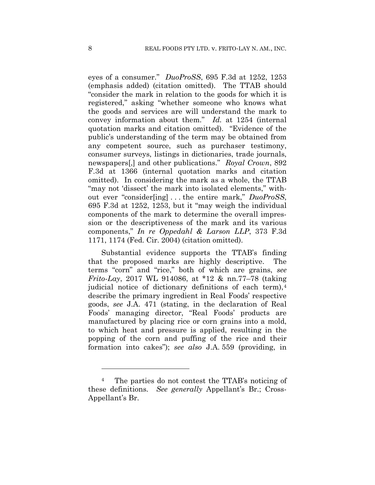eyes of a consumer." *DuoProSS*, 695 F.3d at 1252, 1253 (emphasis added) (citation omitted). The TTAB should "consider the mark in relation to the goods for which it is registered," asking "whether someone who knows what the goods and services are will understand the mark to convey information about them." *Id.* at 1254 (internal quotation marks and citation omitted). "Evidence of the public's understanding of the term may be obtained from any competent source, such as purchaser testimony, consumer surveys, listings in dictionaries, trade journals, newspapers[,] and other publications." *Royal Crown*, 892 F.3d at 1366 (internal quotation marks and citation omitted). In considering the mark as a whole, the TTAB "may not 'dissect' the mark into isolated elements," without ever "consider[ing] . . . the entire mark," *DuoProSS*, 695 F.3d at 1252, 1253, but it "may weigh the individual components of the mark to determine the overall impression or the descriptiveness of the mark and its various components," *In re Oppedahl & Larson LLP*, 373 F.3d 1171, 1174 (Fed. Cir. 2004) (citation omitted).

Substantial evidence supports the TTAB's finding that the proposed marks are highly descriptive. The terms "corn" and "rice," both of which are grains, *see Frito-Lay*, 2017 WL 914086, at \*12 & nn.77–78 (taking judicial notice of dictionary definitions of each term),<sup>[4](#page-7-0)</sup> describe the primary ingredient in Real Foods' respective goods, *see* J.A. 471 (stating, in the declaration of Real Foods' managing director, "Real Foods' products are manufactured by placing rice or corn grains into a mold, to which heat and pressure is applied, resulting in the popping of the corn and puffing of the rice and their formation into cakes"); *see also* J.A. 559 (providing, in

<span id="page-7-0"></span><sup>4</sup> The parties do not contest the TTAB's noticing of these definitions. *See generally* Appellant's Br.; Cross-Appellant's Br.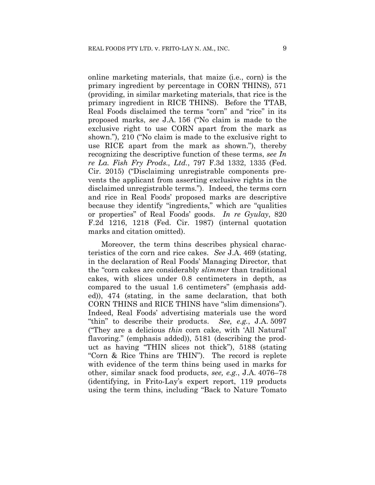online marketing materials, that maize (i.e., corn) is the primary ingredient by percentage in CORN THINS), 571 (providing, in similar marketing materials, that rice is the primary ingredient in RICE THINS). Before the TTAB, Real Foods disclaimed the terms "corn" and "rice" in its proposed marks, *see* J.A. 156 ("No claim is made to the exclusive right to use CORN apart from the mark as shown."), 210 ("No claim is made to the exclusive right to use RICE apart from the mark as shown."), thereby recognizing the descriptive function of these terms, *see In re La. Fish Fry Prods., Ltd.*, 797 F.3d 1332, 1335 (Fed. Cir. 2015) ("Disclaiming unregistrable components prevents the applicant from asserting exclusive rights in the disclaimed unregistrable terms."). Indeed, the terms corn and rice in Real Foods' proposed marks are descriptive because they identify "ingredients," which are "qualities or properties" of Real Foods' goods. *In re Gyulay*, 820 F.2d 1216, 1218 (Fed. Cir. 1987) (internal quotation marks and citation omitted).

Moreover, the term thins describes physical characteristics of the corn and rice cakes. *See* J.A. 469 (stating, in the declaration of Real Foods' Managing Director, that the "corn cakes are considerably *slimmer* than traditional cakes, with slices under 0.8 centimeters in depth, as compared to the usual 1.6 centimeters" (emphasis added)), 474 (stating, in the same declaration, that both CORN THINS and RICE THINS have "slim dimensions"). Indeed, Real Foods' advertising materials use the word "thin" to describe their products. *See, e.g.*, J.A. 5097 ("They are a delicious *thin* corn cake, with 'All Natural' flavoring." (emphasis added)), 5181 (describing the product as having "THIN slices not thick"), 5188 (stating "Corn & Rice Thins are THIN"). The record is replete with evidence of the term thins being used in marks for other, similar snack food products, *see, e.g.*, J.A. 4076–78 (identifying, in Frito-Lay's expert report, 119 products using the term thins, including "Back to Nature Tomato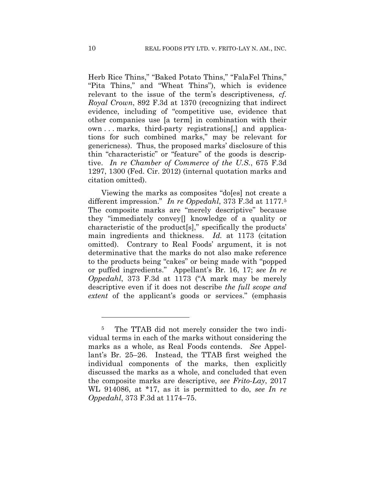Herb Rice Thins," "Baked Potato Thins," "FalaFel Thins," "Pita Thins," and "Wheat Thins"), which is evidence relevant to the issue of the term's descriptiveness, *cf. Royal Crown*, 892 F.3d at 1370 (recognizing that indirect evidence, including of "competitive use, evidence that other companies use [a term] in combination with their own . . . marks, third-party registrations[,] and applications for such combined marks," may be relevant for genericness). Thus, the proposed marks' disclosure of this thin "characteristic" or "feature" of the goods is descriptive. *In re Chamber of Commerce of the U.S.*, 675 F.3d 1297, 1300 (Fed. Cir. 2012) (internal quotation marks and citation omitted).

Viewing the marks as composites "do[es] not create a different impression." *In re Oppedahl*, 373 F.3d at 1177.[5](#page-9-0) The composite marks are "merely descriptive" because they "immediately convey[] knowledge of a quality or characteristic of the product[s]," specifically the products' main ingredients and thickness. *Id.* at 1173 (citation omitted). Contrary to Real Foods' argument, it is not determinative that the marks do not also make reference to the products being "cakes" or being made with "popped or puffed ingredients." Appellant's Br. 16, 17; *see In re Oppedahl*, 373 F.3d at 1173 ("A mark may be merely descriptive even if it does not describe *the full scope and extent* of the applicant's goods or services." (emphasis

<span id="page-9-0"></span><sup>&</sup>lt;sup>5</sup> The TTAB did not merely consider the two individual terms in each of the marks without considering the marks as a whole, as Real Foods contends. *See* Appellant's Br. 25–26. Instead, the TTAB first weighed the individual components of the marks, then explicitly discussed the marks as a whole, and concluded that even the composite marks are descriptive, *see Frito-Lay*, 2017 WL 914086, at \*17, as it is permitted to do, *see In re Oppedahl*, 373 F.3d at 1174–75.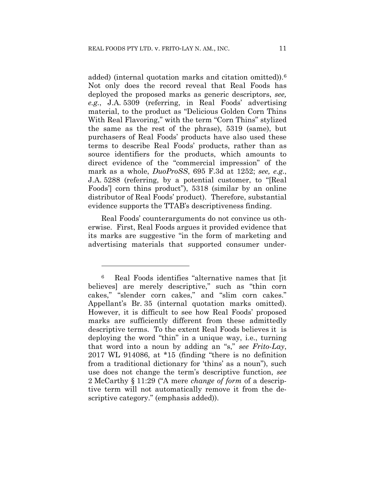added) (internal quotation marks and citation omitted)).[6](#page-10-0) Not only does the record reveal that Real Foods has deployed the proposed marks as generic descriptors, *see, e.g.*, J.A. 5309 (referring, in Real Foods' advertising material, to the product as "Delicious Golden Corn Thins With Real Flavoring," with the term "Corn Thins" stylized the same as the rest of the phrase), 5319 (same), but purchasers of Real Foods' products have also used these terms to describe Real Foods' products, rather than as source identifiers for the products, which amounts to direct evidence of the "commercial impression" of the mark as a whole, *DuoProSS*, 695 F.3d at 1252; *see, e.g.*, J.A. 5288 (referring, by a potential customer, to "[Real Foods'] corn thins product"), 5318 (similar by an online distributor of Real Foods' product). Therefore, substantial evidence supports the TTAB's descriptiveness finding.

Real Foods' counterarguments do not convince us otherwise. First, Real Foods argues it provided evidence that its marks are suggestive "in the form of marketing and advertising materials that supported consumer under-

<span id="page-10-0"></span><sup>6</sup> Real Foods identifies "alternative names that [it believes] are merely descriptive," such as "thin corn cakes," "slender corn cakes," and "slim corn cakes." Appellant's Br. 35 (internal quotation marks omitted). However, it is difficult to see how Real Foods' proposed marks are sufficiently different from these admittedly descriptive terms. To the extent Real Foods believes it is deploying the word "thin" in a unique way, i.e., turning that word into a noun by adding an "s," *see Frito-Lay*, 2017 WL 914086, at \*15 (finding "there is no definition from a traditional dictionary for 'thins' as a noun"), such use does not change the term's descriptive function, *see*  2 McCarthy § 11:29 ("A mere *change of form* of a descriptive term will not automatically remove it from the descriptive category." (emphasis added)).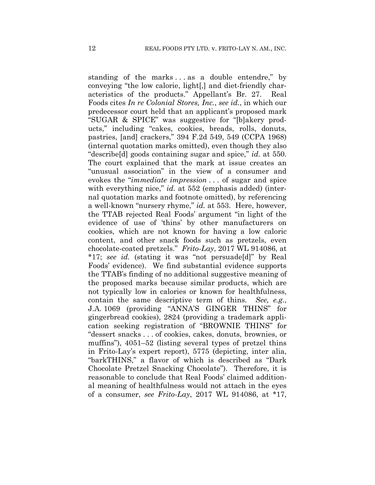standing of the marks . . . as a double entendre," by conveying "the low calorie, light[,] and diet-friendly characteristics of the products." Appellant's Br. 27. Real Foods cites *In re Colonial Stores, Inc.*, *see id.*, in which our predecessor court held that an applicant's proposed mark "SUGAR & SPICE" was suggestive for "[b]akery products," including "cakes, cookies, breads, rolls, donuts, pastries, [and] crackers," 394 F.2d 549, 549 (CCPA 1968) (internal quotation marks omitted), even though they also "describe[d] goods containing sugar and spice," *id.* at 550. The court explained that the mark at issue creates an "unusual association" in the view of a consumer and evokes the "*immediate impression* . . . of sugar and spice with everything nice," *id.* at 552 (emphasis added) (internal quotation marks and footnote omitted), by referencing a well-known "nursery rhyme," *id.* at 553. Here, however, the TTAB rejected Real Foods' argument "in light of the evidence of use of 'thins' by other manufacturers on cookies, which are not known for having a low caloric content, and other snack foods such as pretzels, even chocolate-coated pretzels." *Frito-Lay*, 2017 WL 914086, at \*17; *see id.* (stating it was "not persuade[d]" by Real Foods' evidence). We find substantial evidence supports the TTAB's finding of no additional suggestive meaning of the proposed marks because similar products, which are not typically low in calories or known for healthfulness, contain the same descriptive term of thins. *See, e.g.*, J.A. 1069 (providing "ANNA'S GINGER THINS" for gingerbread cookies), 2824 (providing a trademark application seeking registration of "BROWNIE THINS" for "dessert snacks . . . of cookies, cakes, donuts, brownies, or muffins"), 4051–52 (listing several types of pretzel thins in Frito-Lay's expert report), 5775 (depicting, inter alia, "barkTHINS," a flavor of which is described as "Dark Chocolate Pretzel Snacking Chocolate"). Therefore, it is reasonable to conclude that Real Foods' claimed additional meaning of healthfulness would not attach in the eyes of a consumer, *see Frito-Lay*, 2017 WL 914086, at \*17,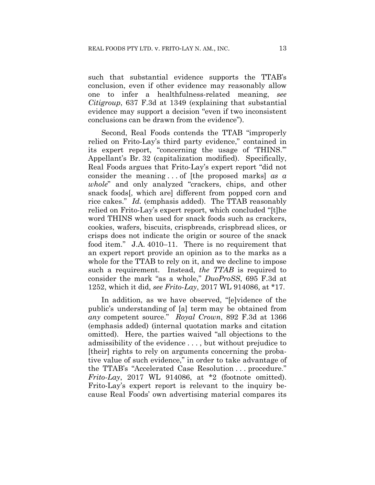such that substantial evidence supports the TTAB's conclusion, even if other evidence may reasonably allow one to infer a healthfulness-related meaning, *see Citigroup*, 637 F.3d at 1349 (explaining that substantial evidence may support a decision "even if two inconsistent conclusions can be drawn from the evidence").

Second, Real Foods contends the TTAB "improperly relied on Frito-Lay's third party evidence," contained in its expert report, "concerning the usage of 'THINS.'" Appellant's Br. 32 (capitalization modified). Specifically, Real Foods argues that Frito-Lay's expert report "did not consider the meaning . . . of [the proposed marks] *as a whole*" and only analyzed "crackers, chips, and other snack foods[, which are] different from popped corn and rice cakes." *Id.* (emphasis added). The TTAB reasonably relied on Frito-Lay's expert report, which concluded "[t]he word THINS when used for snack foods such as crackers, cookies, wafers, biscuits, crispbreads, crispbread slices, or crisps does not indicate the origin or source of the snack food item." J.A. 4010–11. There is no requirement that an expert report provide an opinion as to the marks as a whole for the TTAB to rely on it, and we decline to impose such a requirement. Instead, *the TTAB* is required to consider the mark "as a whole," *DuoProSS*, 695 F.3d at 1252, which it did, *see Frito-Lay*, 2017 WL 914086, at \*17.

In addition, as we have observed, "[e]vidence of the public's understanding of [a] term may be obtained from *any* competent source." *Royal Crown*, 892 F.3d at 1366 (emphasis added) (internal quotation marks and citation omitted). Here, the parties waived "all objections to the admissibility of the evidence . . . , but without prejudice to [their] rights to rely on arguments concerning the probative value of such evidence," in order to take advantage of the TTAB's "Accelerated Case Resolution . . . procedure." *Frito-Lay*, 2017 WL 914086, at \*2 (footnote omitted). Frito-Lay's expert report is relevant to the inquiry because Real Foods' own advertising material compares its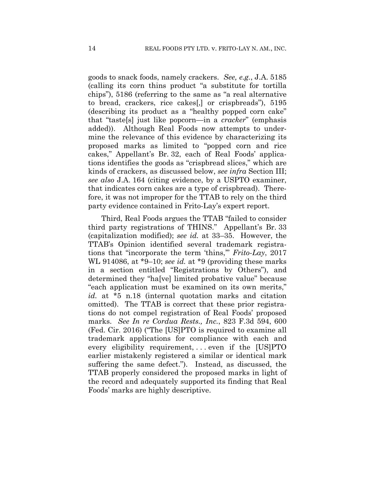goods to snack foods, namely crackers. *See, e.g.*, J.A. 5185 (calling its corn thins product "a substitute for tortilla chips"), 5186 (referring to the same as "a real alternative to bread, crackers, rice cakes[,] or crispbreads"), 5195 (describing its product as a "healthy popped corn cake" that "taste[s] just like popcorn—in a *cracker*" (emphasis added)). Although Real Foods now attempts to undermine the relevance of this evidence by characterizing its proposed marks as limited to "popped corn and rice cakes," Appellant's Br. 32, each of Real Foods' applications identifies the goods as "crispbread slices," which are kinds of crackers, as discussed below, *see infra* Section III; *see also* J.A. 164 (citing evidence, by a USPTO examiner, that indicates corn cakes are a type of crispbread). Therefore, it was not improper for the TTAB to rely on the third party evidence contained in Frito-Lay's expert report.

Third, Real Foods argues the TTAB "failed to consider third party registrations of THINS." Appellant's Br. 33 (capitalization modified); *see id.* at 33–35. However, the TTAB's Opinion identified several trademark registrations that "incorporate the term 'thins,'" *Frito-Lay*, 2017 WL 914086, at \*9–10; *see id.* at \*9 (providing these marks in a section entitled "Registrations by Others"), and determined they "ha[ve] limited probative value" because "each application must be examined on its own merits," *id.* at \*5 n.18 (internal quotation marks and citation omitted). The TTAB is correct that these prior registrations do not compel registration of Real Foods' proposed marks. *See In re Cordua Rests., Inc.*, 823 F.3d 594, 600 (Fed. Cir. 2016) ("The [US]PTO is required to examine all trademark applications for compliance with each and every eligibility requirement, . . . even if the [US]PTO earlier mistakenly registered a similar or identical mark suffering the same defect."). Instead, as discussed, the TTAB properly considered the proposed marks in light of the record and adequately supported its finding that Real Foods' marks are highly descriptive.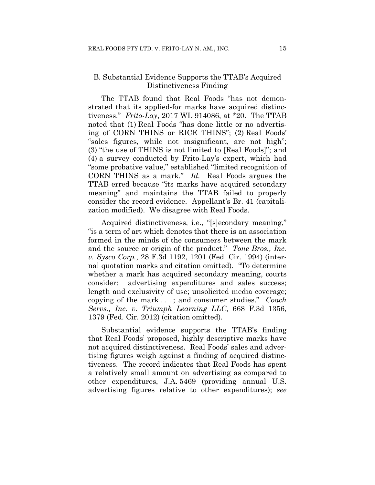## B. Substantial Evidence Supports the TTAB's Acquired Distinctiveness Finding

The TTAB found that Real Foods "has not demonstrated that its applied-for marks have acquired distinctiveness." *Frito-Lay*, 2017 WL 914086, at \*20. The TTAB noted that (1) Real Foods "has done little or no advertising of CORN THINS or RICE THINS"; (2) Real Foods' "sales figures, while not insignificant, are not high"; (3) "the use of THINS is not limited to [Real Foods]"; and (4) a survey conducted by Frito-Lay's expert, which had "some probative value," established "limited recognition of CORN THINS as a mark." *Id.* Real Foods argues the TTAB erred because "its marks have acquired secondary meaning" and maintains the TTAB failed to properly consider the record evidence. Appellant's Br. 41 (capitalization modified). We disagree with Real Foods.

Acquired distinctiveness, i.e., "[s]econdary meaning," "is a term of art which denotes that there is an association formed in the minds of the consumers between the mark and the source or origin of the product." *Tone Bros., Inc. v. Sysco Corp.*, 28 F.3d 1192, 1201 (Fed. Cir. 1994) (internal quotation marks and citation omitted). "To determine whether a mark has acquired secondary meaning, courts consider: advertising expenditures and sales success; length and exclusivity of use; unsolicited media coverage; copying of the mark . . . ; and consumer studies." *Coach Servs., Inc. v. Triumph Learning LLC*, 668 F.3d 1356, 1379 (Fed. Cir. 2012) (citation omitted).

Substantial evidence supports the TTAB's finding that Real Foods' proposed, highly descriptive marks have not acquired distinctiveness. Real Foods' sales and advertising figures weigh against a finding of acquired distinctiveness. The record indicates that Real Foods has spent a relatively small amount on advertising as compared to other expenditures, J.A. 5469 (providing annual U.S. advertising figures relative to other expenditures); *see*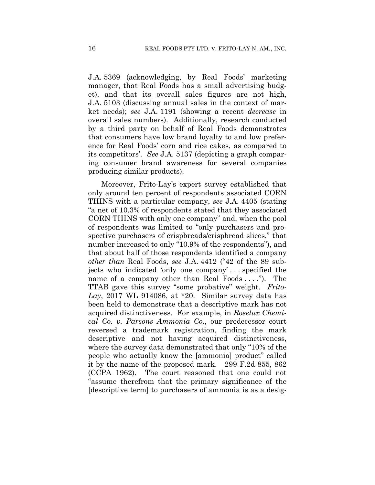J.A. 5369 (acknowledging, by Real Foods' marketing manager, that Real Foods has a small advertising budget), and that its overall sales figures are not high, J.A. 5103 (discussing annual sales in the context of market needs); *see* J.A. 1191 (showing a recent *decrease* in overall sales numbers). Additionally, research conducted by a third party on behalf of Real Foods demonstrates that consumers have low brand loyalty to and low preference for Real Foods' corn and rice cakes, as compared to its competitors'. *See* J.A. 5137 (depicting a graph comparing consumer brand awareness for several companies producing similar products).

Moreover, Frito-Lay's expert survey established that only around ten percent of respondents associated CORN THINS with a particular company, *see* J.A. 4405 (stating "a net of 10.3% of respondents stated that they associated CORN THINS with only one company" and, when the pool of respondents was limited to "only purchasers and prospective purchasers of crispbreads/crispbread slices," that number increased to only "10.9% of the respondents", and that about half of those respondents identified a company *other than* Real Foods, *see* J.A. 4412 ("42 of the 89 subjects who indicated 'only one company' . . . specified the name of a company other than Real Foods ...."... The TTAB gave this survey "some probative" weight. *Frito-Lay*, 2017 WL 914086, at \*20. Similar survey data has been held to demonstrate that a descriptive mark has not acquired distinctiveness. For example, in *Roselux Chemical Co. v. Parsons Ammonia Co.*, our predecessor court reversed a trademark registration, finding the mark descriptive and not having acquired distinctiveness, where the survey data demonstrated that only "10% of the people who actually know the [ammonia] product" called it by the name of the proposed mark. 299 F.2d 855, 862 (CCPA 1962). The court reasoned that one could not "assume therefrom that the primary significance of the [descriptive term] to purchasers of ammonia is as a desig-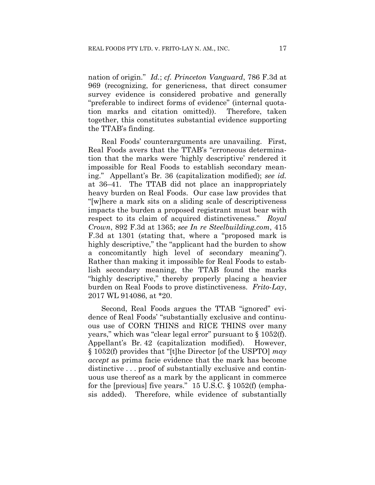nation of origin." *Id.*; *cf. Princeton Vanguard*, 786 F.3d at 969 (recognizing, for genericness, that direct consumer survey evidence is considered probative and generally "preferable to indirect forms of evidence" (internal quotation marks and citation omitted)). Therefore, taken together, this constitutes substantial evidence supporting the TTAB's finding.

Real Foods' counterarguments are unavailing. First, Real Foods avers that the TTAB's "erroneous determination that the marks were 'highly descriptive' rendered it impossible for Real Foods to establish secondary meaning." Appellant's Br. 36 (capitalization modified); *see id.* at 36–41. The TTAB did not place an inappropriately heavy burden on Real Foods. Our case law provides that "[w]here a mark sits on a sliding scale of descriptiveness impacts the burden a proposed registrant must bear with respect to its claim of acquired distinctiveness." *Royal Crown*, 892 F.3d at 1365; *see In re Steelbuilding.com*, 415 F.3d at 1301 (stating that, where a "proposed mark is highly descriptive," the "applicant had the burden to show a concomitantly high level of secondary meaning"). Rather than making it impossible for Real Foods to establish secondary meaning, the TTAB found the marks "highly descriptive," thereby properly placing a heavier burden on Real Foods to prove distinctiveness. *Frito-Lay*, 2017 WL 914086, at \*20.

Second, Real Foods argues the TTAB "ignored" evidence of Real Foods' "substantially exclusive and continuous use of CORN THINS and RICE THINS over many years," which was "clear legal error" pursuant to § 1052(f). Appellant's Br. 42 (capitalization modified). However, § 1052(f) provides that "[t]he Director [of the USPTO] *may accept* as prima facie evidence that the mark has become distinctive . . . proof of substantially exclusive and continuous use thereof as a mark by the applicant in commerce for the [previous] five years." 15 U.S.C. § 1052(f) (emphasis added). Therefore, while evidence of substantially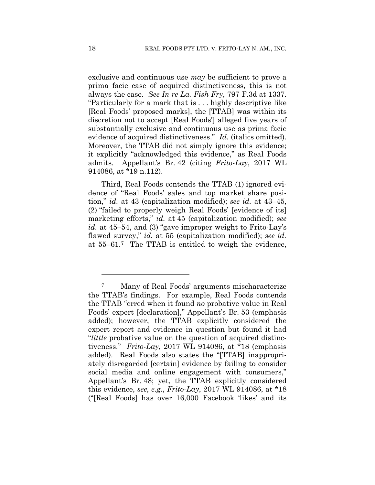exclusive and continuous use *may* be sufficient to prove a prima facie case of acquired distinctiveness, this is not always the case. *See In re La. Fish Fry*, 797 F.3d at 1337. "Particularly for a mark that is . . . highly descriptive like [Real Foods' proposed marks], the [TTAB] was within its discretion not to accept [Real Foods'] alleged five years of substantially exclusive and continuous use as prima facie evidence of acquired distinctiveness." *Id.* (italics omitted). Moreover, the TTAB did not simply ignore this evidence; it explicitly "acknowledged this evidence," as Real Foods admits. Appellant's Br. 42 (citing *Frito-Lay*, 2017 WL 914086, at \*19 n.112).

Third, Real Foods contends the TTAB (1) ignored evidence of "Real Foods' sales and top market share position," *id.* at 43 (capitalization modified); *see id.* at 43–45, (2) "failed to properly weigh Real Foods' [evidence of its] marketing efforts," *id.* at 45 (capitalization modified); *see id.* at 45–54, and (3) "gave improper weight to Frito-Lay's flawed survey," *id.* at 55 (capitalization modified); *see id.* at 55–61.[7](#page-17-0) The TTAB is entitled to weigh the evidence,

<span id="page-17-0"></span><sup>7</sup> Many of Real Foods' arguments mischaracterize the TTAB's findings. For example, Real Foods contends the TTAB "erred when it found *no* probative value in Real Foods' expert [declaration]," Appellant's Br. 53 (emphasis added); however, the TTAB explicitly considered the expert report and evidence in question but found it had "*little* probative value on the question of acquired distinctiveness." *Frito-Lay*, 2017 WL 914086, at \*18 (emphasis added). Real Foods also states the "[TTAB] inappropriately disregarded [certain] evidence by failing to consider social media and online engagement with consumers," Appellant's Br. 48; yet, the TTAB explicitly considered this evidence, *see, e.g.*, *Frito-Lay*, 2017 WL 914086, at \*18 ("[Real Foods] has over 16,000 Facebook 'likes' and its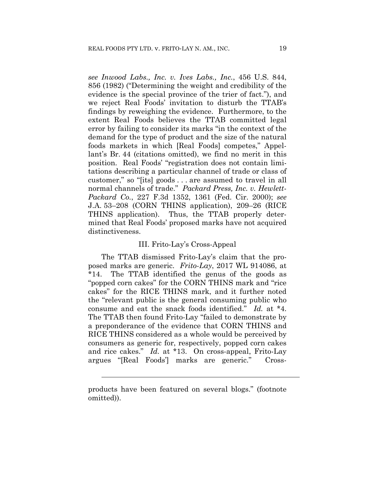*see Inwood Labs., Inc. v. Ives Labs., Inc.*, 456 U.S. 844, 856 (1982) ("Determining the weight and credibility of the evidence is the special province of the trier of fact."), and we reject Real Foods' invitation to disturb the TTAB's findings by reweighing the evidence. Furthermore, to the extent Real Foods believes the TTAB committed legal error by failing to consider its marks "in the context of the demand for the type of product and the size of the natural foods markets in which [Real Foods] competes," Appellant's Br. 44 (citations omitted), we find no merit in this position. Real Foods' "registration does not contain limitations describing a particular channel of trade or class of customer," so "[its] goods . . . are assumed to travel in all normal channels of trade." *Packard Press, Inc. v. Hewlett-Packard Co.*, 227 F.3d 1352, 1361 (Fed. Cir. 2000); *see*  J.A. 53–208 (CORN THINS application), 209–26 (RICE THINS application). Thus, the TTAB properly determined that Real Foods' proposed marks have not acquired distinctiveness.

### III. Frito-Lay's Cross-Appeal

The TTAB dismissed Frito-Lay's claim that the proposed marks are generic. *Frito-Lay*, 2017 WL 914086, at \*14. The TTAB identified the genus of the goods as "popped corn cakes" for the CORN THINS mark and "rice cakes" for the RICE THINS mark, and it further noted the "relevant public is the general consuming public who consume and eat the snack foods identified." *Id.* at \*4. The TTAB then found Frito-Lay "failed to demonstrate by a preponderance of the evidence that CORN THINS and RICE THINS considered as a whole would be perceived by consumers as generic for, respectively, popped corn cakes and rice cakes." *Id.* at \*13. On cross-appeal, Frito-Lay argues "[Real Foods'] marks are generic." Cross-

l

products have been featured on several blogs." (footnote omitted)).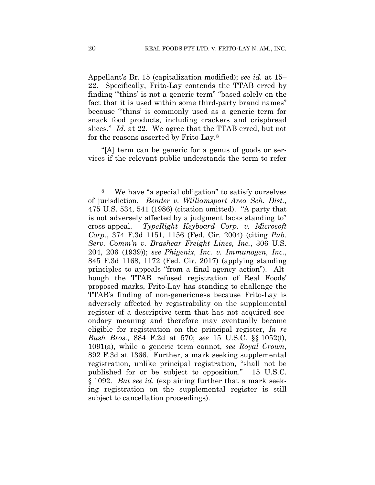Appellant's Br. 15 (capitalization modified); *see id.* at 15– 22. Specifically, Frito-Lay contends the TTAB erred by finding "thins' is not a generic term" "based solely on the fact that it is used within some third-party brand names" because "'thins' is commonly used as a generic term for snack food products, including crackers and crispbread slices." *Id.* at 22. We agree that the TTAB erred, but not for the reasons asserted by Frito-Lay.[8](#page-19-0)

"[A] term can be generic for a genus of goods or services if the relevant public understands the term to refer

<u>.</u>

<span id="page-19-0"></span><sup>8</sup> We have "a special obligation" to satisfy ourselves of jurisdiction. *Bender v. Williamsport Area Sch. Dist.*, 475 U.S. 534, 541 (1986) (citation omitted). "A party that is not adversely affected by a judgment lacks standing to" cross-appeal. *TypeRight Keyboard Corp. v. Microsoft Corp.*, 374 F.3d 1151, 1156 (Fed. Cir. 2004) (citing *Pub. Serv. Comm'n v. Brashear Freight Lines, Inc.*, 306 U.S. 204, 206 (1939)); *see Phigenix, Inc. v. Immunogen, Inc.*, 845 F.3d 1168, 1172 (Fed. Cir. 2017) (applying standing principles to appeals "from a final agency action"). Although the TTAB refused registration of Real Foods' proposed marks, Frito-Lay has standing to challenge the TTAB's finding of non-genericness because Frito-Lay is adversely affected by registrability on the supplemental register of a descriptive term that has not acquired secondary meaning and therefore may eventually become eligible for registration on the principal register, *In re Bush Bros.*, 884 F.2d at 570; *see* 15 U.S.C. §§ 1052(f), 1091(a), while a generic term cannot, *see Royal Crown*, 892 F.3d at 1366. Further, a mark seeking supplemental registration, unlike principal registration, "shall not be published for or be subject to opposition." 15 U.S.C. § 1092. *But see id.* (explaining further that a mark seeking registration on the supplemental register is still subject to cancellation proceedings).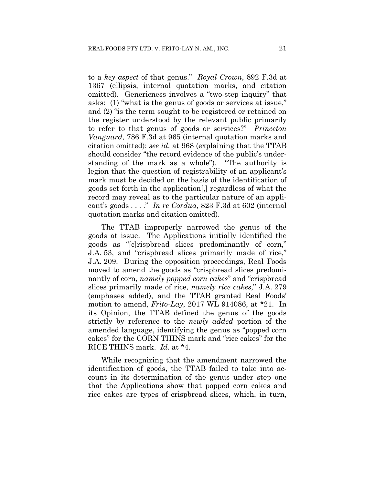to a *key aspect* of that genus." *Royal Crown*, 892 F.3d at 1367 (ellipsis, internal quotation marks, and citation omitted). Genericness involves a "two-step inquiry" that asks: (1) "what is the genus of goods or services at issue," and (2) "is the term sought to be registered or retained on the register understood by the relevant public primarily to refer to that genus of goods or services?" *Princeton Vanguard*, 786 F.3d at 965 (internal quotation marks and citation omitted); *see id.* at 968 (explaining that the TTAB should consider "the record evidence of the public's understanding of the mark as a whole"). "The authority is legion that the question of registrability of an applicant's mark must be decided on the basis of the identification of goods set forth in the application[,] regardless of what the record may reveal as to the particular nature of an applicant's goods . . . ." *In re Cordua*, 823 F.3d at 602 (internal quotation marks and citation omitted).

The TTAB improperly narrowed the genus of the goods at issue. The Applications initially identified the goods as "[c]rispbread slices predominantly of corn," J.A. 53, and "crispbread slices primarily made of rice," J.A. 209. During the opposition proceedings, Real Foods moved to amend the goods as "crispbread slices predominantly of corn, *namely popped corn cakes*" and "crispbread slices primarily made of rice, *namely rice cakes*," J.A. 279 (emphases added), and the TTAB granted Real Foods' motion to amend, *Frito-Lay*, 2017 WL 914086, at \*21. In its Opinion, the TTAB defined the genus of the goods strictly by reference to the *newly added* portion of the amended language, identifying the genus as "popped corn cakes" for the CORN THINS mark and "rice cakes" for the RICE THINS mark. *Id.* at \*4.

While recognizing that the amendment narrowed the identification of goods, the TTAB failed to take into account in its determination of the genus under step one that the Applications show that popped corn cakes and rice cakes are types of crispbread slices, which, in turn,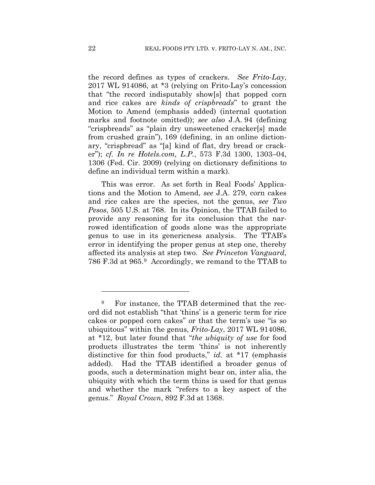the record defines as types of crackers. *See Frito-Lay*, 2017 WL 914086, at \*3 (relying on Frito-Lay's concession that "the record indisputably show[s] that popped corn and rice cakes are *kinds of crispbreads*" to grant the Motion to Amend (emphasis added) (internal quotation marks and footnote omitted)); *see also* J.A. 94 (defining "crispbreads" as "plain dry unsweetened cracker[s] made from crushed grain"), 169 (defining, in an online dictionary, "crispbread" as "[a] kind of flat, dry bread or cracker"); *cf. In re Hotels.com, L.P.*, 573 F.3d 1300, 1303–04, 1306 (Fed. Cir. 2009) (relying on dictionary definitions to define an individual term within a mark).

This was error. As set forth in Real Foods' Applications and the Motion to Amend, *see* J.A. 279, corn cakes and rice cakes are the species, not the genus, *see Two Pesos*, 505 U.S. at 768. In its Opinion, the TTAB failed to provide any reasoning for its conclusion that the narrowed identification of goods alone was the appropriate genus to use in its genericness analysis. The TTAB's error in identifying the proper genus at step one, thereby affected its analysis at step two. *See Princeton Vanguard*, 786 F.3d at 965.[9](#page-21-0) Accordingly, we remand to the TTAB to

<span id="page-21-0"></span><sup>9</sup> For instance, the TTAB determined that the record did not establish "that 'thins' is a generic term for rice cakes or popped corn cakes" or that the term's use "is so ubiquitous" within the genus, *Frito-Lay*, 2017 WL 914086, at \*12, but later found that "*the ubiquity of use* for food products illustrates the term 'thins' is not inherently distinctive for thin food products," *id.* at \*17 (emphasis added). Had the TTAB identified a broader genus of goods, such a determination might bear on, inter alia, the ubiquity with which the term thins is used for that genus and whether the mark "refers to a key aspect of the genus." *Royal Crown*, 892 F.3d at 1368.